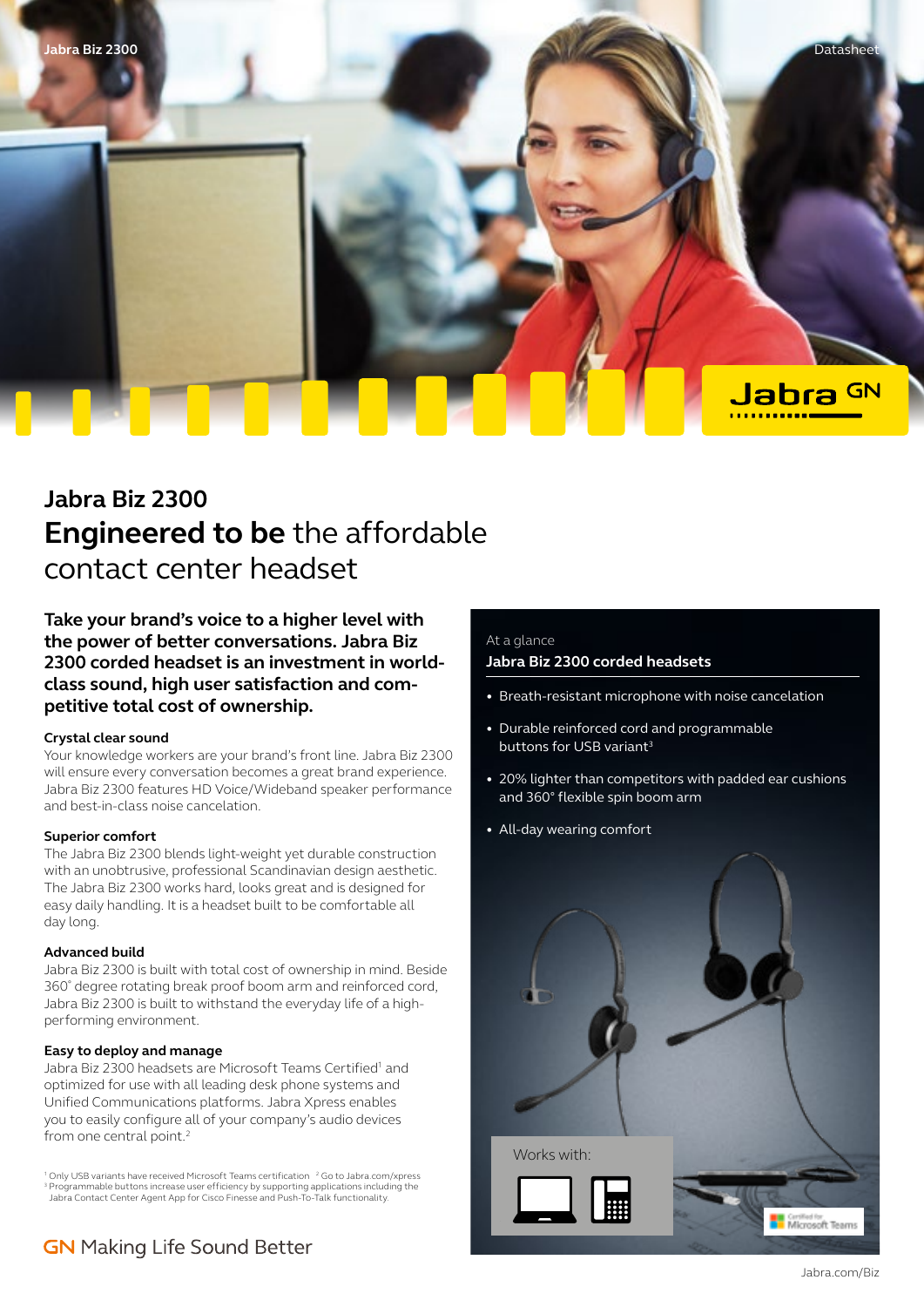

# **Jabra Biz 2300 Engineered to be** the affordable contact center headset

**Take your brand's voice to a higher level with the power of better conversations. Jabra Biz 2300 corded headset is an investment in worldclass sound, high user satisfaction and competitive total cost of ownership.** 

#### **Crystal clear sound**

Your knowledge workers are your brand's front line. Jabra Biz 2300 will ensure every conversation becomes a great brand experience. Jabra Biz 2300 features HD Voice/Wideband speaker performance and best-in-class noise cancelation.

#### **Superior comfort**

The Jabra Biz 2300 blends light-weight yet durable construction with an unobtrusive, professional Scandinavian design aesthetic. The Jabra Biz 2300 works hard, looks great and is designed for easy daily handling. It is a headset built to be comfortable all day long.

#### **Advanced build**

Jabra Biz 2300 is built with total cost of ownership in mind. Beside 360˚ degree rotating break proof boom arm and reinforced cord, Jabra Biz 2300 is built to withstand the everyday life of a highperforming environment.

#### **Easy to deploy and manage**

Jabra Biz 2300 headsets are Microsoft Teams Certified<sup>1</sup> and optimized for use with all leading desk phone systems and Unified Communications platforms. Jabra Xpress enables you to easily configure all of your company's audio devices from one central point.<sup>2</sup>

<sup>1</sup> Only USB variants have received Microsoft Teams certification <sup>2</sup> Go to Jabra.com/xpress <sup>3</sup> Programmable buttons increase user efficiency by supporting applications including the Jabra Contact Center Agent App for Cisco Finesse and Push-To-Talk functionality.

## **GN** Making Life Sound Better

### At a glance **Jabra Biz 2300 corded headsets**

- Breath-resistant microphone with noise cancelation
- Durable reinforced cord and programmable buttons for USB variant<sup>3</sup>
- 20% lighter than competitors with padded ear cushions and 360° flexible spin boom arm
- All-day wearing comfort